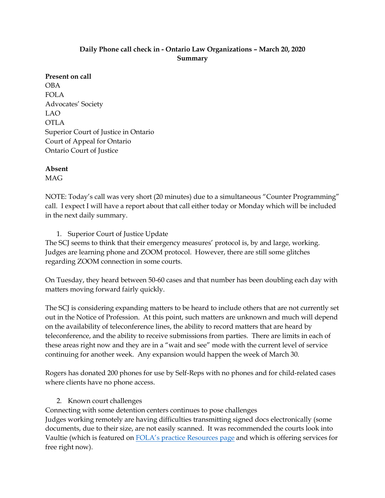### **Daily Phone call check in - Ontario Law Organizations – March 20, 2020 Summary**

**Present on call** OBA FOLA Advocates' Society LAO OTLA Superior Court of Justice in Ontario Court of Appeal for Ontario Ontario Court of Justice

**Absent** MAG

NOTE: Today's call was very short (20 minutes) due to a simultaneous "Counter Programming" call. I expect I will have a report about that call either today or Monday which will be included in the next daily summary.

1. Superior Court of Justice Update

The SCJ seems to think that their emergency measures' protocol is, by and large, working. Judges are learning phone and ZOOM protocol. However, there are still some glitches regarding ZOOM connection in some courts.

On Tuesday, they heard between 50-60 cases and that number has been doubling each day with matters moving forward fairly quickly.

The SCJ is considering expanding matters to be heard to include others that are not currently set out in the Notice of Profession. At this point, such matters are unknown and much will depend on the availability of teleconference lines, the ability to record matters that are heard by teleconference, and the ability to receive submissions from parties. There are limits in each of these areas right now and they are in a "wait and see" mode with the current level of service continuing for another week. Any expansion would happen the week of March 30.

Rogers has donated 200 phones for use by Self-Reps with no phones and for child-related cases where clients have no phone access.

2. Known court challenges

Connecting with some detention centers continues to pose challenges Judges working remotely are having difficulties transmitting signed docs electronically (some documents, due to their size, are not easily scanned. It was recommended the courts look into Vaultie (which is featured on [FOLA's practice Re](https://fola.ca/practice-resources)sources page and which is offering services for free right now).